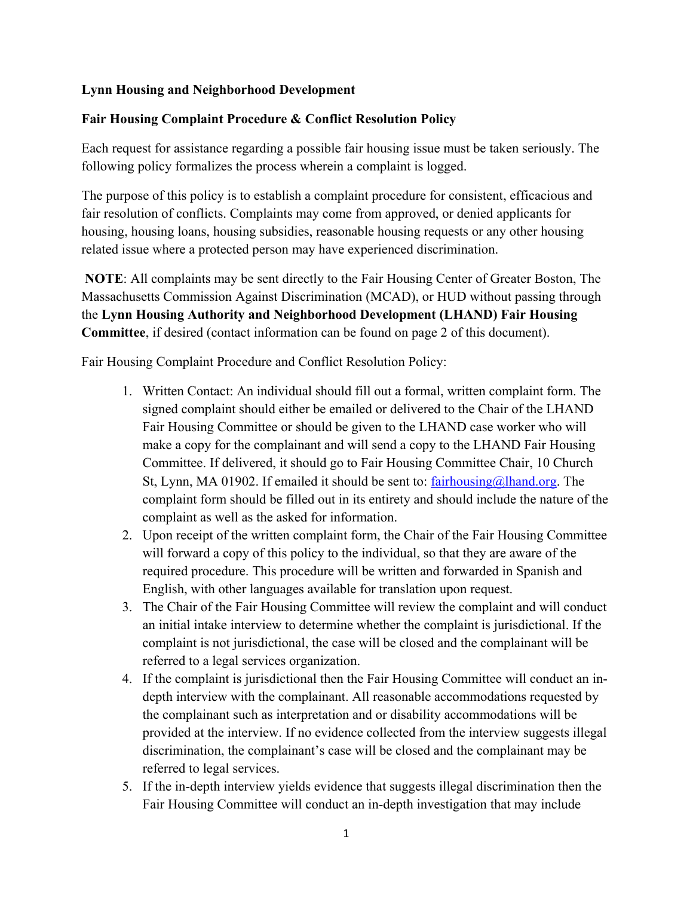## **Lynn Housing and Neighborhood Development**

## **Fair Housing Complaint Procedure & Conflict Resolution Policy**

Each request for assistance regarding a possible fair housing issue must be taken seriously. The following policy formalizes the process wherein a complaint is logged.

The purpose of this policy is to establish a complaint procedure for consistent, efficacious and fair resolution of conflicts. Complaints may come from approved, or denied applicants for housing, housing loans, housing subsidies, reasonable housing requests or any other housing related issue where a protected person may have experienced discrimination.

 **NOTE**: All complaints may be sent directly to the Fair Housing Center of Greater Boston, The Massachusetts Commission Against Discrimination (MCAD), or HUD without passing through the **Lynn Housing Authority and Neighborhood Development (LHAND) Fair Housing Committee**, if desired (contact information can be found on page 2 of this document).

Fair Housing Complaint Procedure and Conflict Resolution Policy:

- 1. Written Contact: An individual should fill out a formal, written complaint form. The signed complaint should either be emailed or delivered to the Chair of the LHAND Fair Housing Committee or should be given to the LHAND case worker who will make a copy for the complainant and will send a copy to the LHAND Fair Housing Committee. If delivered, it should go to Fair Housing Committee Chair, 10 Church St, Lynn, MA 01902. If emailed it should be sent to: fairhousing@lhand.org. The complaint form should be filled out in its entirety and should include the nature of the complaint as well as the asked for information.
- 2. Upon receipt of the written complaint form, the Chair of the Fair Housing Committee will forward a copy of this policy to the individual, so that they are aware of the required procedure. This procedure will be written and forwarded in Spanish and English, with other languages available for translation upon request.
- 3. The Chair of the Fair Housing Committee will review the complaint and will conduct an initial intake interview to determine whether the complaint is jurisdictional. If the complaint is not jurisdictional, the case will be closed and the complainant will be referred to a legal services organization.
- 4. If the complaint is jurisdictional then the Fair Housing Committee will conduct an indepth interview with the complainant. All reasonable accommodations requested by the complainant such as interpretation and or disability accommodations will be provided at the interview. If no evidence collected from the interview suggests illegal discrimination, the complainant's case will be closed and the complainant may be referred to legal services.
- 5. If the in-depth interview yields evidence that suggests illegal discrimination then the Fair Housing Committee will conduct an in-depth investigation that may include